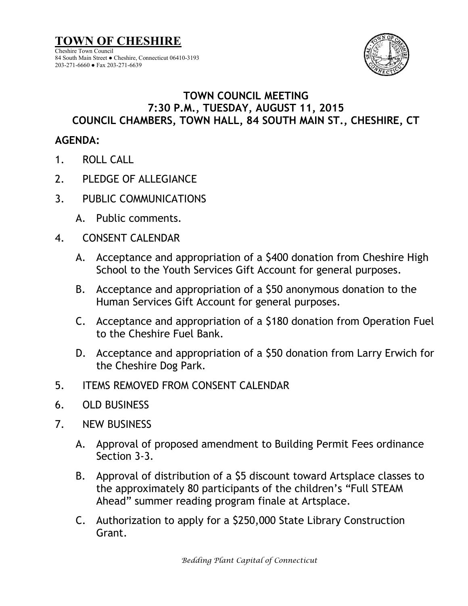

## **TOWN COUNCIL MEETING 7:30 P.M., TUESDAY, AUGUST 11, 2015 COUNCIL CHAMBERS, TOWN HALL, 84 SOUTH MAIN ST., CHESHIRE, CT**

## **AGENDA:**

- 1. ROLL CALL
- 2. PLEDGE OF ALLEGIANCE
- 3. PUBLIC COMMUNICATIONS
	- A. Public comments.
- 4. CONSENT CALENDAR
	- A. Acceptance and appropriation of a \$400 donation from Cheshire High School to the Youth Services Gift Account for general purposes.
	- B. Acceptance and appropriation of a \$50 anonymous donation to the Human Services Gift Account for general purposes.
	- C. Acceptance and appropriation of a \$180 donation from Operation Fuel to the Cheshire Fuel Bank.
	- D. Acceptance and appropriation of a \$50 donation from Larry Erwich for the Cheshire Dog Park.
- 5. ITEMS REMOVED FROM CONSENT CALENDAR
- 6. OLD BUSINESS
- 7. NEW BUSINESS
	- A. Approval of proposed amendment to Building Permit Fees ordinance Section 3-3.
	- B. Approval of distribution of a \$5 discount toward Artsplace classes to the approximately 80 participants of the children's "Full STEAM Ahead" summer reading program finale at Artsplace.
	- C. Authorization to apply for a \$250,000 State Library Construction Grant.